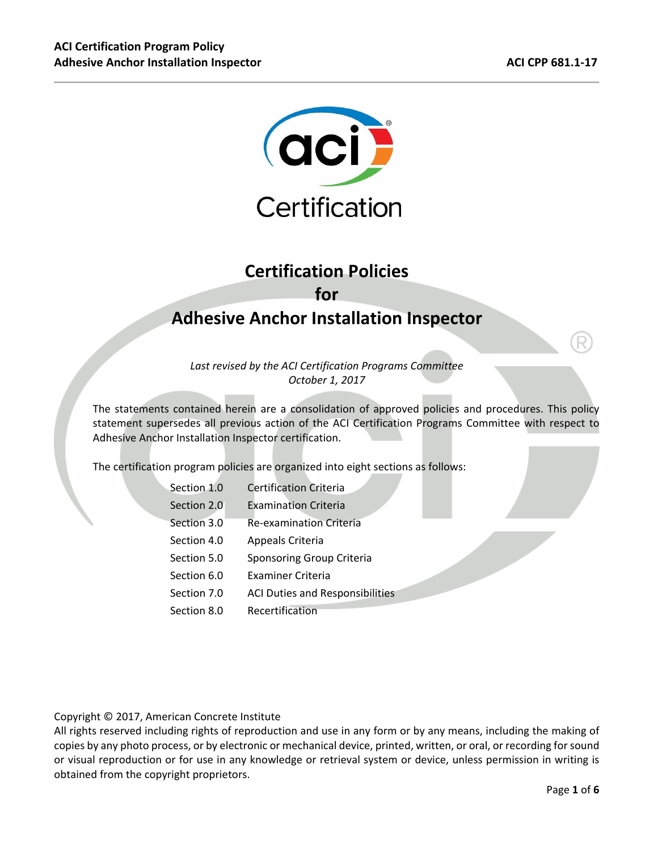

# **Certification Policies for Adhesive Anchor Installation Inspector**

*Last revised by the ACI Certification Programs Committee October 1, 2017* 

The statements contained herein are a consolidation of approved policies and procedures. This policy statement supersedes all previous action of the ACI Certification Programs Committee with respect to Adhesive Anchor Installation Inspector certification.

The certification program policies are organized into eight sections as follows:

| Section 1.0 | Certification Criteria                 |
|-------------|----------------------------------------|
| Section 2.0 | <b>Examination Criteria</b>            |
| Section 3.0 | <b>Re-examination Criteria</b>         |
| Section 4.0 | Appeals Criteria                       |
| Section 5.0 | Sponsoring Group Criteria              |
| Section 6.0 | <b>Examiner Criteria</b>               |
| Section 7.0 | <b>ACI Duties and Responsibilities</b> |
| Section 8.0 | Recertification                        |
|             |                                        |

Copyright © 2017, American Concrete Institute

All rights reserved including rights of reproduction and use in any form or by any means, including the making of copies by any photo process, or by electronic or mechanical device, printed, written, or oral, or recording for sound or visual reproduction or for use in any knowledge or retrieval system or device, unless permission in writing is obtained from the copyright proprietors.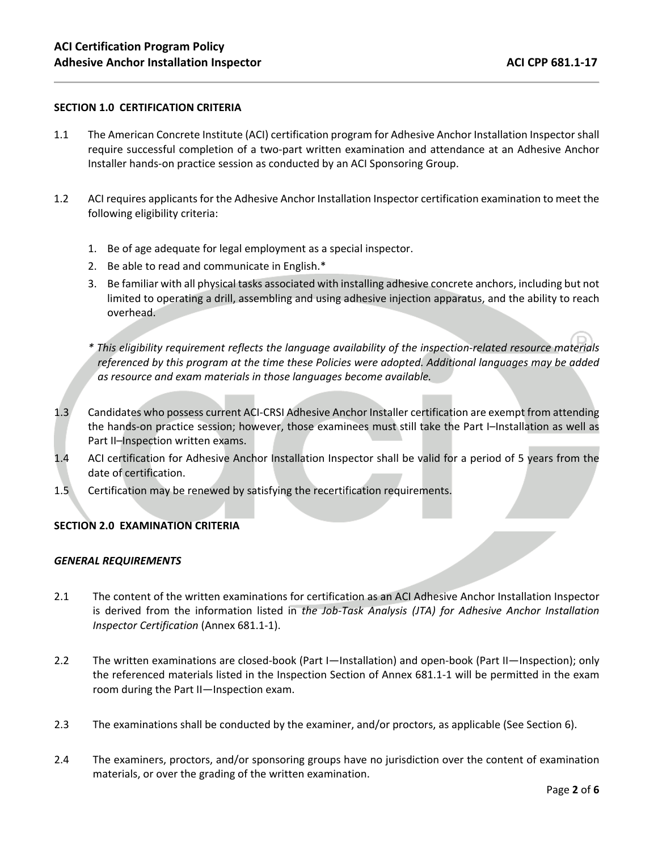### **SECTION 1.0 CERTIFICATION CRITERIA**

- 1.1 The American Concrete Institute (ACI) certification program for Adhesive Anchor Installation Inspector shall require successful completion of a two-part written examination and attendance at an Adhesive Anchor Installer hands-on practice session as conducted by an ACI Sponsoring Group.
- 1.2 ACI requires applicants for the Adhesive Anchor Installation Inspector certification examination to meet the following eligibility criteria:
	- 1. Be of age adequate for legal employment as a special inspector.
	- 2. Be able to read and communicate in English.\*
	- 3. Be familiar with all physical tasks associated with installing adhesive concrete anchors, including but not limited to operating a drill, assembling and using adhesive injection apparatus, and the ability to reach overhead.
	- *\* This eligibility requirement reflects the language availability of the inspection-related resource materials referenced by this program at the time these Policies were adopted. Additional languages may be added as resource and exam materials in those languages become available.*
- 1.3 Candidates who possess current ACI-CRSI Adhesive Anchor Installer certification are exempt from attending the hands-on practice session; however, those examinees must still take the Part I–Installation as well as Part II–Inspection written exams.
- 1.4 ACI certification for Adhesive Anchor Installation Inspector shall be valid for a period of 5 years from the date of certification.
- 1.5 Certification may be renewed by satisfying the recertification requirements.

#### **SECTION 2.0 EXAMINATION CRITERIA**

#### *GENERAL REQUIREMENTS*

- 2.1 The content of the written examinations for certification as an ACI Adhesive Anchor Installation Inspector is derived from the information listed in *the Job-Task Analysis (JTA) for Adhesive Anchor Installation Inspector Certification* (Annex 681.1-1).
- 2.2 The written examinations are closed-book (Part I—Installation) and open-book (Part II—Inspection); only the referenced materials listed in the Inspection Section of Annex 681.1-1 will be permitted in the exam room during the Part II—Inspection exam.
- 2.3 The examinations shall be conducted by the examiner, and/or proctors, as applicable (See Section 6).
- 2.4 The examiners, proctors, and/or sponsoring groups have no jurisdiction over the content of examination materials, or over the grading of the written examination.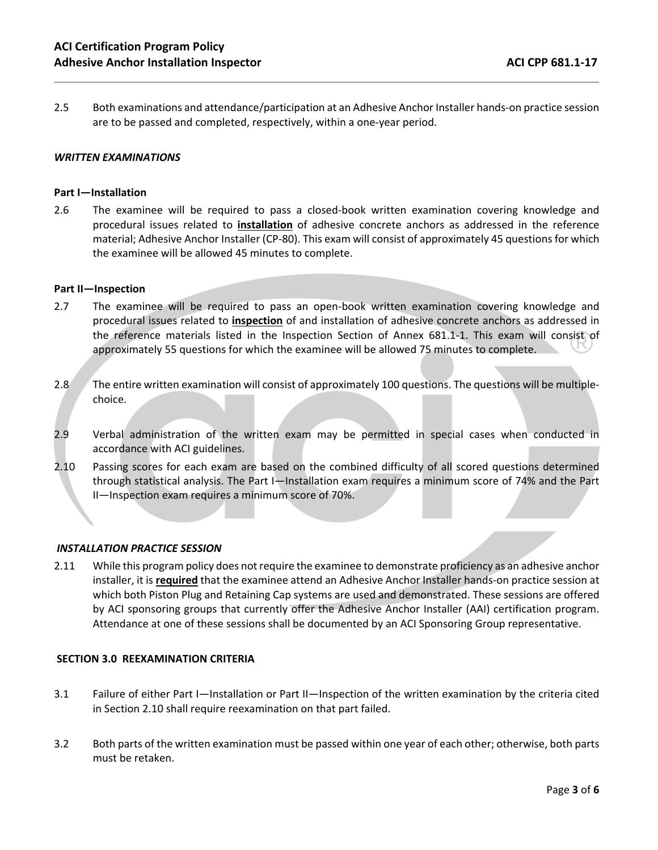2.5 Both examinations and attendance/participation at an Adhesive Anchor Installer hands-on practice session are to be passed and completed, respectively, within a one-year period.

#### *WRITTEN EXAMINATIONS*

#### **Part I—Installation**

2.6 The examinee will be required to pass a closed-book written examination covering knowledge and procedural issues related to **installation** of adhesive concrete anchors as addressed in the reference material; Adhesive Anchor Installer (CP-80). This exam will consist of approximately 45 questions for which the examinee will be allowed 45 minutes to complete.

#### **Part II—Inspection**

- 2.7 The examinee will be required to pass an open-book written examination covering knowledge and procedural issues related to **inspection** of and installation of adhesive concrete anchors as addressed in the reference materials listed in the Inspection Section of Annex 681.1-1. This exam will consist of approximately 55 questions for which the examinee will be allowed 75 minutes to complete.
- 2.8 The entire written examination will consist of approximately 100 questions. The questions will be multiplechoice.
- 2.9 Verbal administration of the written exam may be permitted in special cases when conducted in accordance with ACI guidelines.
- 2.10 Passing scores for each exam are based on the combined difficulty of all scored questions determined through statistical analysis. The Part I—Installation exam requires a minimum score of 74% and the Part II—Inspection exam requires a minimum score of 70%.

#### *INSTALLATION PRACTICE SESSION*

2.11 While this program policy does not require the examinee to demonstrate proficiency as an adhesive anchor installer, it is **required** that the examinee attend an Adhesive Anchor Installer hands-on practice session at which both Piston Plug and Retaining Cap systems are used and demonstrated. These sessions are offered by ACI sponsoring groups that currently offer the Adhesive Anchor Installer (AAI) certification program. Attendance at one of these sessions shall be documented by an ACI Sponsoring Group representative.

#### **SECTION 3.0 REEXAMINATION CRITERIA**

- 3.1 Failure of either Part I—Installation or Part II—Inspection of the written examination by the criteria cited in Section 2.10 shall require reexamination on that part failed.
- 3.2 Both parts of the written examination must be passed within one year of each other; otherwise, both parts must be retaken.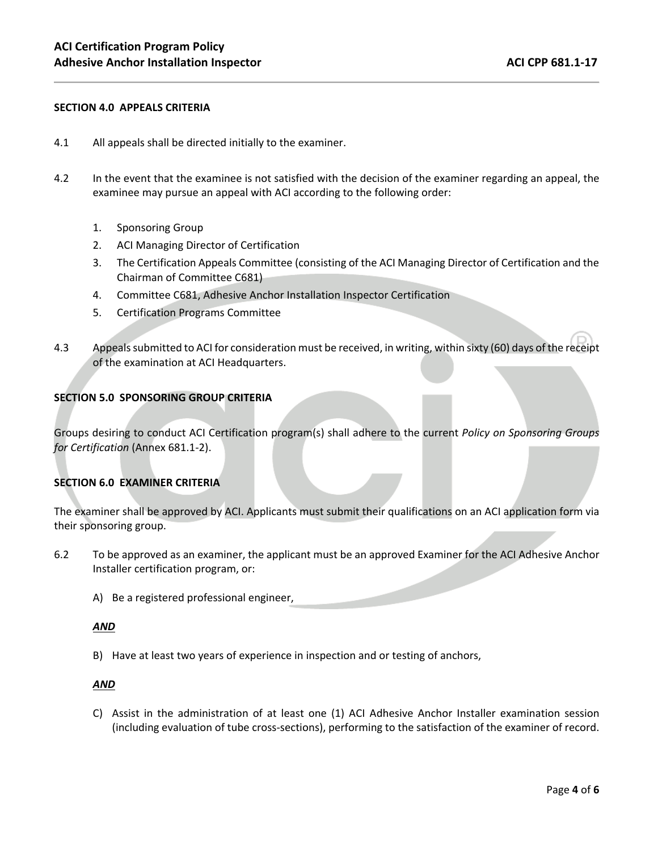#### **SECTION 4.0 APPEALS CRITERIA**

- 4.1 All appeals shall be directed initially to the examiner.
- 4.2 In the event that the examinee is not satisfied with the decision of the examiner regarding an appeal, the examinee may pursue an appeal with ACI according to the following order:
	- 1. Sponsoring Group
	- 2. ACI Managing Director of Certification
	- 3. The Certification Appeals Committee (consisting of the ACI Managing Director of Certification and the Chairman of Committee C681)
	- 4. Committee C681, Adhesive Anchor Installation Inspector Certification
	- 5. Certification Programs Committee
- 4.3 Appeals submitted to ACI for consideration must be received, in writing, within sixty (60) days of the receipt of the examination at ACI Headquarters.

#### **SECTION 5.0 SPONSORING GROUP CRITERIA**

Groups desiring to conduct ACI Certification program(s) shall adhere to the current *Policy on Sponsoring Groups for Certification* (Annex 681.1-2).

#### **SECTION 6.0 EXAMINER CRITERIA**

The examiner shall be approved by ACI. Applicants must submit their qualifications on an ACI application form via their sponsoring group.

- 6.2 To be approved as an examiner, the applicant must be an approved Examiner for the ACI Adhesive Anchor Installer certification program, or:
	- A) Be a registered professional engineer,

#### *AND*

B) Have at least two years of experience in inspection and or testing of anchors,

#### *AND*

C) Assist in the administration of at least one (1) ACI Adhesive Anchor Installer examination session (including evaluation of tube cross-sections), performing to the satisfaction of the examiner of record.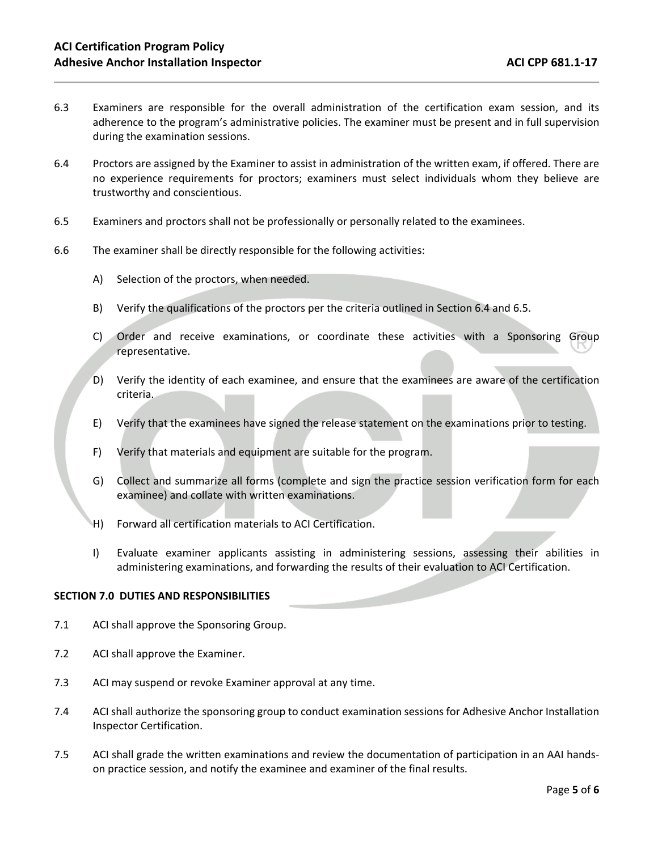- 6.3 Examiners are responsible for the overall administration of the certification exam session, and its adherence to the program's administrative policies. The examiner must be present and in full supervision during the examination sessions.
- 6.4 Proctors are assigned by the Examiner to assist in administration of the written exam, if offered. There are no experience requirements for proctors; examiners must select individuals whom they believe are trustworthy and conscientious.
- 6.5 Examiners and proctors shall not be professionally or personally related to the examinees.
- 6.6 The examiner shall be directly responsible for the following activities:
	- A) Selection of the proctors, when needed.
	- B) Verify the qualifications of the proctors per the criteria outlined in Section 6.4 and 6.5.
	- C) Order and receive examinations, or coordinate these activities with a Sponsoring Group representative.
	- D) Verify the identity of each examinee, and ensure that the examinees are aware of the certification criteria.
	- E) Verify that the examinees have signed the release statement on the examinations prior to testing.
	- F) Verify that materials and equipment are suitable for the program.
	- G) Collect and summarize all forms (complete and sign the practice session verification form for each examinee) and collate with written examinations.
	- H) Forward all certification materials to ACI Certification.
	- I) Evaluate examiner applicants assisting in administering sessions, assessing their abilities in administering examinations, and forwarding the results of their evaluation to ACI Certification.

#### **SECTION 7.0 DUTIES AND RESPONSIBILITIES**

- 7.1 ACI shall approve the Sponsoring Group.
- 7.2 ACI shall approve the Examiner.
- 7.3 ACI may suspend or revoke Examiner approval at any time.
- 7.4 ACI shall authorize the sponsoring group to conduct examination sessions for Adhesive Anchor Installation Inspector Certification.
- 7.5 ACI shall grade the written examinations and review the documentation of participation in an AAI handson practice session, and notify the examinee and examiner of the final results.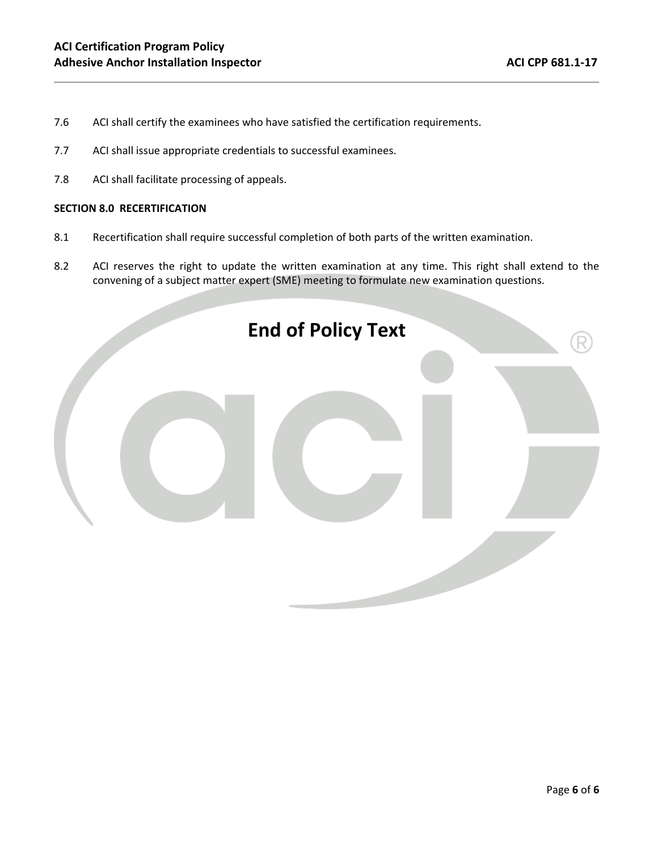- 7.6 ACI shall certify the examinees who have satisfied the certification requirements.
- 7.7 ACI shall issue appropriate credentials to successful examinees.
- 7.8 ACI shall facilitate processing of appeals.

#### **SECTION 8.0 RECERTIFICATION**

- 8.1 Recertification shall require successful completion of both parts of the written examination.
- 8.2 ACI reserves the right to update the written examination at any time. This right shall extend to the convening of a subject matter expert (SME) meeting to formulate new examination questions.

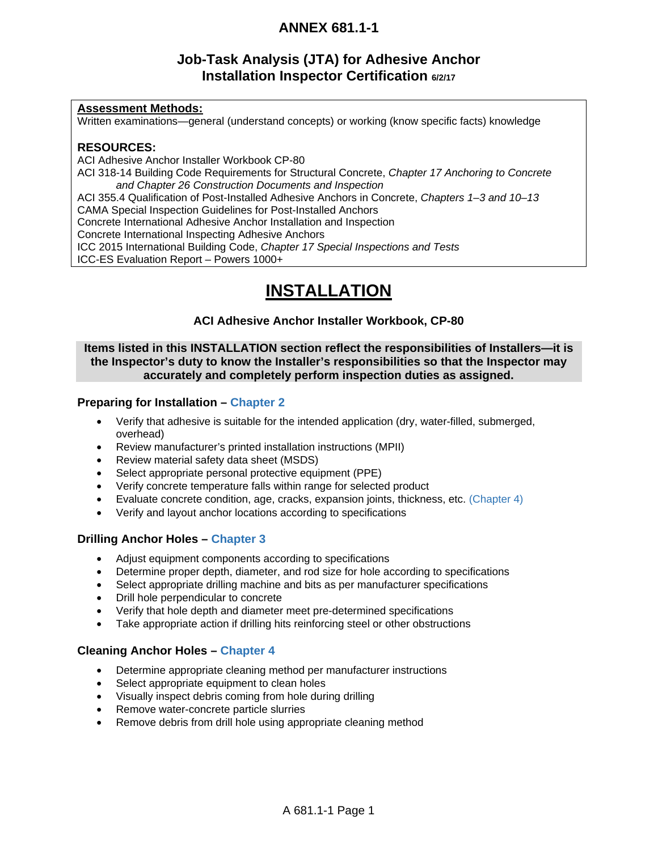## **Job-Task Analysis (JTA) for Adhesive Anchor Installation Inspector Certification 6/2/17**

### **Assessment Methods:**

Written examinations—general (understand concepts) or working (know specific facts) knowledge

### **RESOURCES:**

ACI Adhesive Anchor Installer Workbook CP-80 ACI 318-14 Building Code Requirements for Structural Concrete, *Chapter 17 Anchoring to Concrete and Chapter 26 Construction Documents and Inspection* ACI 355.4 Qualification of Post-Installed Adhesive Anchors in Concrete, *Chapters 1–3 and 10–13* CAMA Special Inspection Guidelines for Post-Installed Anchors Concrete International Adhesive Anchor Installation and Inspection Concrete International Inspecting Adhesive Anchors ICC 2015 International Building Code, *Chapter 17 Special Inspections and Tests* ICC-ES Evaluation Report – Powers 1000+

# **INSTALLATION**

### **ACI Adhesive Anchor Installer Workbook, CP-80**

### **Items listed in this INSTALLATION section reflect the responsibilities of Installers—it is the Inspector's duty to know the Installer's responsibilities so that the Inspector may accurately and completely perform inspection duties as assigned.**

### **Preparing for Installation – Chapter 2**

- Verify that adhesive is suitable for the intended application (dry, water-filled, submerged, overhead)
- Review manufacturer's printed installation instructions (MPII)
- Review material safety data sheet (MSDS)
- Select appropriate personal protective equipment (PPE)
- Verify concrete temperature falls within range for selected product
- Evaluate concrete condition, age, cracks, expansion joints, thickness, etc. (Chapter 4)
- Verify and layout anchor locations according to specifications

### **Drilling Anchor Holes – Chapter 3**

- Adjust equipment components according to specifications
- Determine proper depth, diameter, and rod size for hole according to specifications
- Select appropriate drilling machine and bits as per manufacturer specifications
- Drill hole perpendicular to concrete
- Verify that hole depth and diameter meet pre-determined specifications
- Take appropriate action if drilling hits reinforcing steel or other obstructions

### **Cleaning Anchor Holes – Chapter 4**

- Determine appropriate cleaning method per manufacturer instructions
- Select appropriate equipment to clean holes
- Visually inspect debris coming from hole during drilling
- Remove water-concrete particle slurries
- Remove debris from drill hole using appropriate cleaning method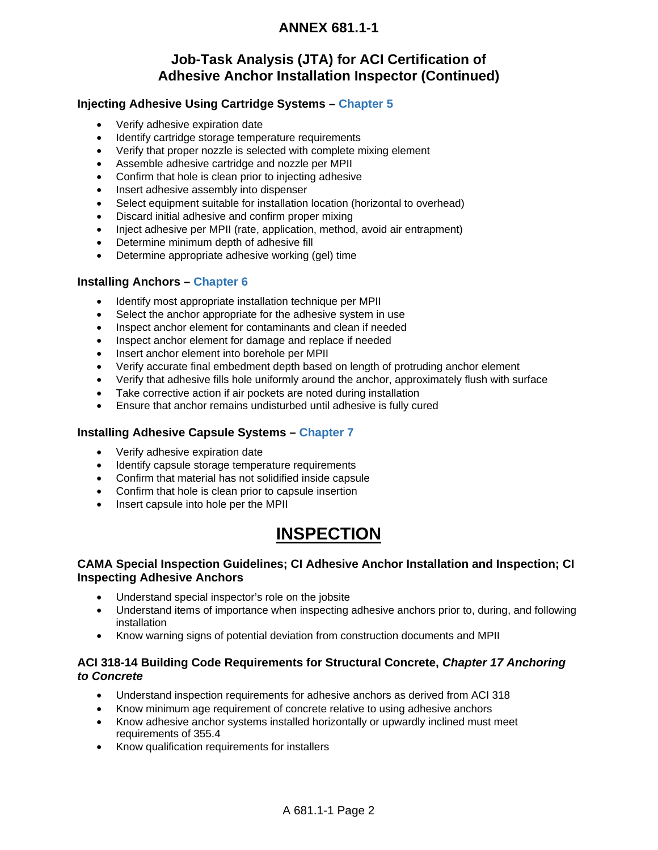### **Job-Task Analysis (JTA) for ACI Certification of Adhesive Anchor Installation Inspector (Continued)**

### **Injecting Adhesive Using Cartridge Systems – Chapter 5**

- Verify adhesive expiration date
- Identify cartridge storage temperature requirements
- Verify that proper nozzle is selected with complete mixing element
- Assemble adhesive cartridge and nozzle per MPII
- Confirm that hole is clean prior to injecting adhesive
- Insert adhesive assembly into dispenser
- Select equipment suitable for installation location (horizontal to overhead)
- Discard initial adhesive and confirm proper mixing
- Inject adhesive per MPII (rate, application, method, avoid air entrapment)
- Determine minimum depth of adhesive fill
- Determine appropriate adhesive working (gel) time

#### **Installing Anchors – Chapter 6**

- Identify most appropriate installation technique per MPII
- Select the anchor appropriate for the adhesive system in use
- Inspect anchor element for contaminants and clean if needed
- Inspect anchor element for damage and replace if needed
- Insert anchor element into borehole per MPII
- Verify accurate final embedment depth based on length of protruding anchor element
- Verify that adhesive fills hole uniformly around the anchor, approximately flush with surface
- Take corrective action if air pockets are noted during installation
- Ensure that anchor remains undisturbed until adhesive is fully cured

### **Installing Adhesive Capsule Systems – Chapter 7**

- Verify adhesive expiration date
- Identify capsule storage temperature requirements
- Confirm that material has not solidified inside capsule
- Confirm that hole is clean prior to capsule insertion
- Insert capsule into hole per the MPII

# **INSPECTION**

### **CAMA Special Inspection Guidelines; CI Adhesive Anchor Installation and Inspection; CI Inspecting Adhesive Anchors**

- Understand special inspector's role on the jobsite
- Understand items of importance when inspecting adhesive anchors prior to, during, and following installation
- Know warning signs of potential deviation from construction documents and MPII

### **ACI 318-14 Building Code Requirements for Structural Concrete,** *Chapter 17 Anchoring to Concrete*

- Understand inspection requirements for adhesive anchors as derived from ACI 318
- Know minimum age requirement of concrete relative to using adhesive anchors
- Know adhesive anchor systems installed horizontally or upwardly inclined must meet requirements of 355.4
- Know qualification requirements for installers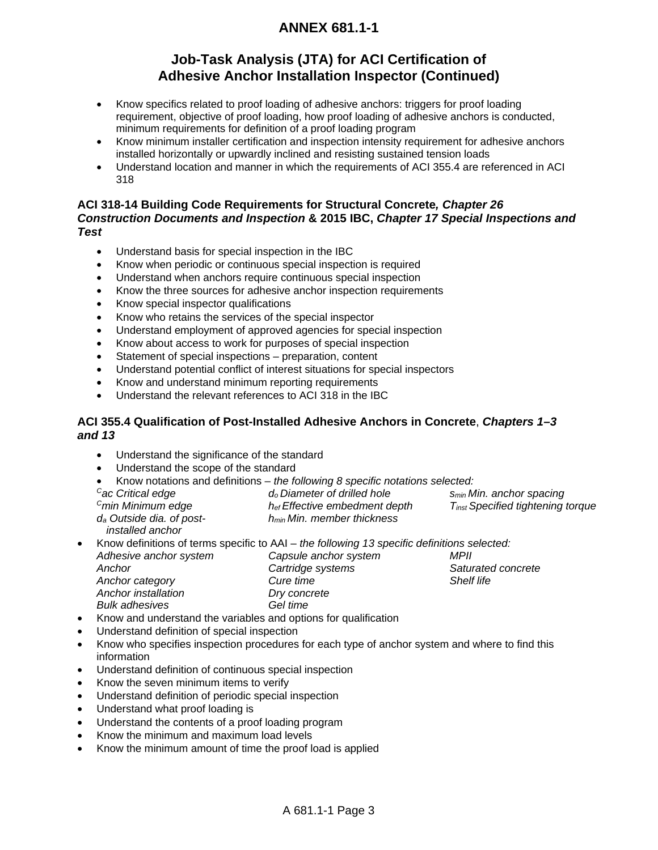## **Job-Task Analysis (JTA) for ACI Certification of Adhesive Anchor Installation Inspector (Continued)**

- Know specifics related to proof loading of adhesive anchors: triggers for proof loading requirement, objective of proof loading, how proof loading of adhesive anchors is conducted, minimum requirements for definition of a proof loading program
- Know minimum installer certification and inspection intensity requirement for adhesive anchors installed horizontally or upwardly inclined and resisting sustained tension loads
- Understand location and manner in which the requirements of ACI 355.4 are referenced in ACI 318

### **ACI 318-14 Building Code Requirements for Structural Concrete***, Chapter 26 Construction Documents and Inspection* **& 2015 IBC,** *Chapter 17 Special Inspections and Test*

- Understand basis for special inspection in the IBC
- Know when periodic or continuous special inspection is required
- Understand when anchors require continuous special inspection
- Know the three sources for adhesive anchor inspection requirements
- Know special inspector qualifications
- Know who retains the services of the special inspector
- Understand employment of approved agencies for special inspection
- Know about access to work for purposes of special inspection
- Statement of special inspections preparation, content
- Understand potential conflict of interest situations for special inspectors
- Know and understand minimum reporting requirements
- Understand the relevant references to ACI 318 in the IBC

### **ACI 355.4 Qualification of Post-Installed Adhesive Anchors in Concrete**, *Chapters 1–3 and 13*

- Understand the significance of the standard
- Understand the scope of the standard
- Know notations and definitions *the following 8 specific notations selected:*

| $\sim$ $\sim$ | <u>טווטווויוטגי מווען טווטומוטיווי זיטווי</u> | are renowing a appeared notations advocate. |                                                      |  |
|---------------|-----------------------------------------------|---------------------------------------------|------------------------------------------------------|--|
|               | <sup>C</sup> ac Critical edge                 | d <sub>o</sub> Diameter of drilled hole     | S <sub>min</sub> Min. anchor spacing                 |  |
|               | <sup>C</sup> min Minimum edge                 | $h_{ef}$ Effective embedment depth          | <b>T</b> <sub>inst</sub> Specified tightening torque |  |
|               | d <sub>a</sub> Outside dia. of post-          | h <sub>min</sub> Min. member thickness      |                                                      |  |
|               |                                               |                                             |                                                      |  |

- *installed anchor*
- Know definitions of terms specific to AAI *the following 13 specific definitions selected: Adhesive anchor system Capsule anchor system Anchor Anchor category Anchor installation Bulk adhesives Cartridge systems Cure time Dry concrete Gel time MPII Saturated concrete Shelf life*
- Know and understand the variables and options for qualification
- Understand definition of special inspection
- Know who specifies inspection procedures for each type of anchor system and where to find this information
- Understand definition of continuous special inspection
- Know the seven minimum items to verify
- Understand definition of periodic special inspection
- Understand what proof loading is
- Understand the contents of a proof loading program
- Know the minimum and maximum load levels
- Know the minimum amount of time the proof load is applied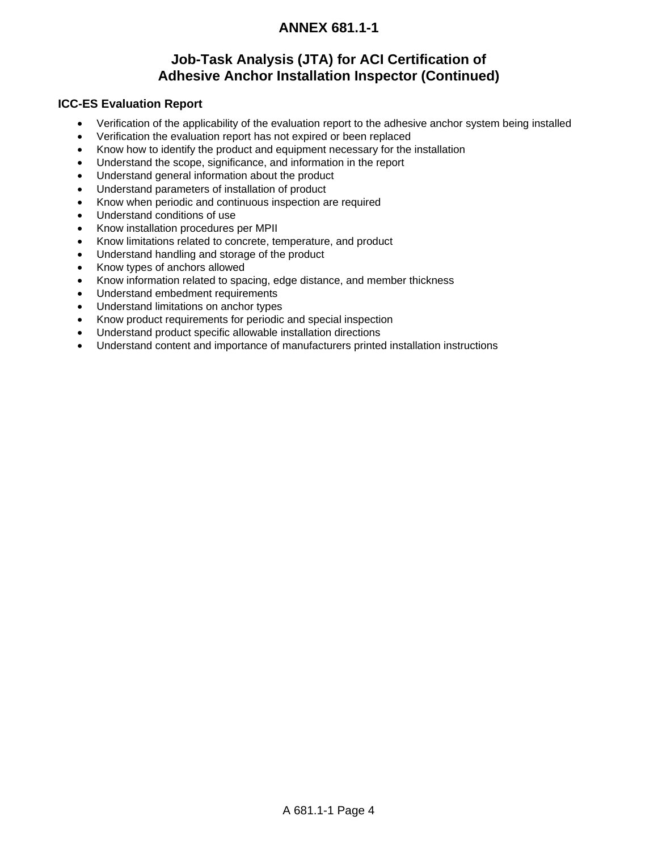## **Job-Task Analysis (JTA) for ACI Certification of Adhesive Anchor Installation Inspector (Continued)**

### **ICC-ES Evaluation Report**

- Verification of the applicability of the evaluation report to the adhesive anchor system being installed
- Verification the evaluation report has not expired or been replaced
- Know how to identify the product and equipment necessary for the installation
- Understand the scope, significance, and information in the report
- Understand general information about the product
- Understand parameters of installation of product
- Know when periodic and continuous inspection are required
- Understand conditions of use
- Know installation procedures per MPII
- Know limitations related to concrete, temperature, and product
- Understand handling and storage of the product
- Know types of anchors allowed
- Know information related to spacing, edge distance, and member thickness
- Understand embedment requirements
- Understand limitations on anchor types
- Know product requirements for periodic and special inspection
- Understand product specific allowable installation directions
- Understand content and importance of manufacturers printed installation instructions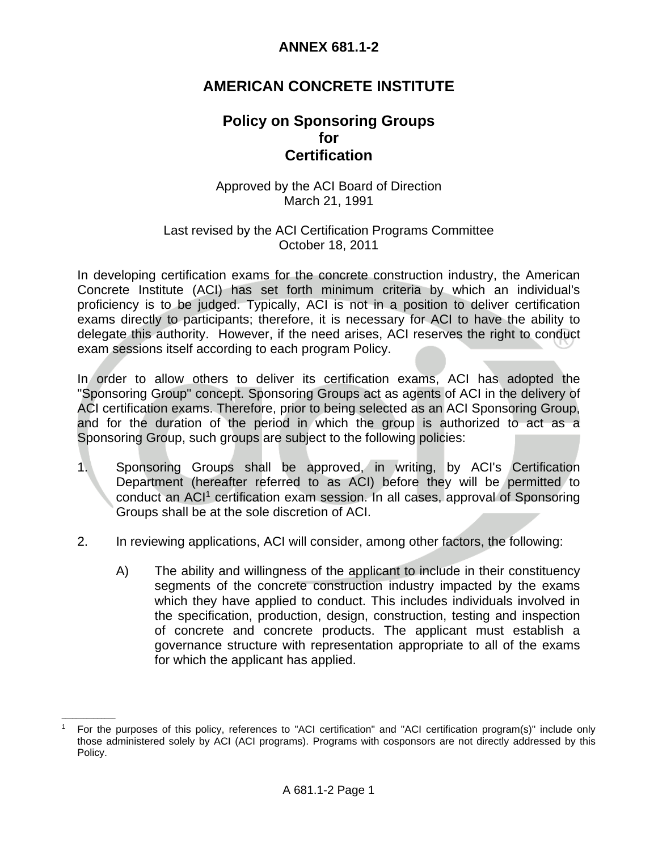## **AMERICAN CONCRETE INSTITUTE**

## **Policy on Sponsoring Groups**   *for for*  **Certification**

### Approved by the ACI Board of Direction March 21, 1991

### Last revised by the ACI Certification Programs Committee October 18, 2011

In developing certification exams for the concrete construction industry, the American Concrete Institute (ACI) has set forth minimum criteria by which an individual's proficiency is to be judged. Typically, ACI is not in a position to deliver certification exams directly to participants; therefore, it is necessary for ACI to have the ability to delegate this authority. However, if the need arises, ACI reserves the right to conduct exam sessions itself according to each program Policy.

In order to allow others to deliver its certification exams, ACI has adopted the "Sponsoring Group" concept. Sponsoring Groups act as agents of ACI in the delivery of ACI certification exams. Therefore, prior to being selected as an ACI Sponsoring Group, and for the duration of the period in which the group is authorized to act as a Sponsoring Group, such groups are subject to the following policies:

- 1. Sponsoring Groups shall be approved, in writing, by ACI's Certification Department (hereafter referred to as ACI) before they will be permitted to conduct an ACI1 certification exam session. In all cases, approval of Sponsoring Groups shall be at the sole discretion of ACI.
- 2. In reviewing applications, ACI will consider, among other factors, the following:
	- A) The ability and willingness of the applicant to include in their constituency segments of the concrete construction industry impacted by the exams which they have applied to conduct. This includes individuals involved in the specification, production, design, construction, testing and inspection of concrete and concrete products. The applicant must establish a governance structure with representation appropriate to all of the exams for which the applicant has applied.

 $\mathcal{L}=\mathcal{L}$ 

<sup>1</sup> For the purposes of this policy, references to "ACI certification" and "ACI certification program(s)" include only those administered solely by ACI (ACI programs). Programs with cosponsors are not directly addressed by this Policy.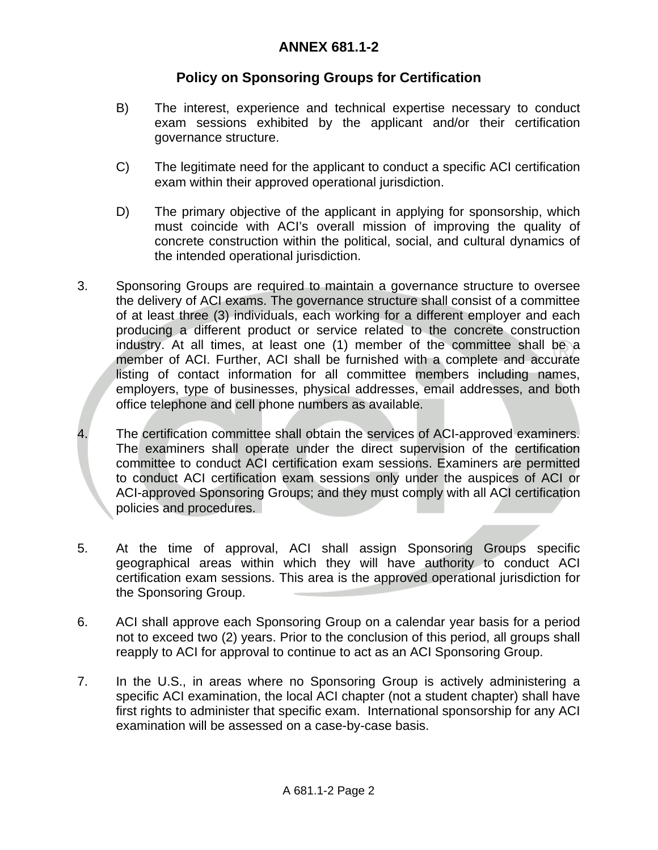## **Policy on Sponsoring Groups for Certification**

- B) The interest, experience and technical expertise necessary to conduct exam sessions exhibited by the applicant and/or their certification governance structure.
- C) The legitimate need for the applicant to conduct a specific ACI certification exam within their approved operational jurisdiction.
- D) The primary objective of the applicant in applying for sponsorship, which must coincide with ACI's overall mission of improving the quality of concrete construction within the political, social, and cultural dynamics of the intended operational jurisdiction.
- 3. Sponsoring Groups are required to maintain a governance structure to oversee the delivery of ACI exams. The governance structure shall consist of a committee of at least three (3) individuals, each working for a different employer and each producing a different product or service related to the concrete construction industry. At all times, at least one (1) member of the committee shall be a member of ACI. Further, ACI shall be furnished with a complete and accurate listing of contact information for all committee members including names, employers, type of businesses, physical addresses, email addresses, and both office telephone and cell phone numbers as available.
- 4. The certification committee shall obtain the services of ACI-approved examiners. The examiners shall operate under the direct supervision of the certification committee to conduct ACI certification exam sessions. Examiners are permitted to conduct ACI certification exam sessions only under the auspices of ACI or ACI-approved Sponsoring Groups; and they must comply with all ACI certification policies and procedures.
- 5. At the time of approval, ACI shall assign Sponsoring Groups specific geographical areas within which they will have authority to conduct ACI certification exam sessions. This area is the approved operational jurisdiction for the Sponsoring Group.
- 6. ACI shall approve each Sponsoring Group on a calendar year basis for a period not to exceed two (2) years. Prior to the conclusion of this period, all groups shall reapply to ACI for approval to continue to act as an ACI Sponsoring Group.
- 7. In the U.S., in areas where no Sponsoring Group is actively administering a specific ACI examination, the local ACI chapter (not a student chapter) shall have first rights to administer that specific exam. International sponsorship for any ACI examination will be assessed on a case-by-case basis.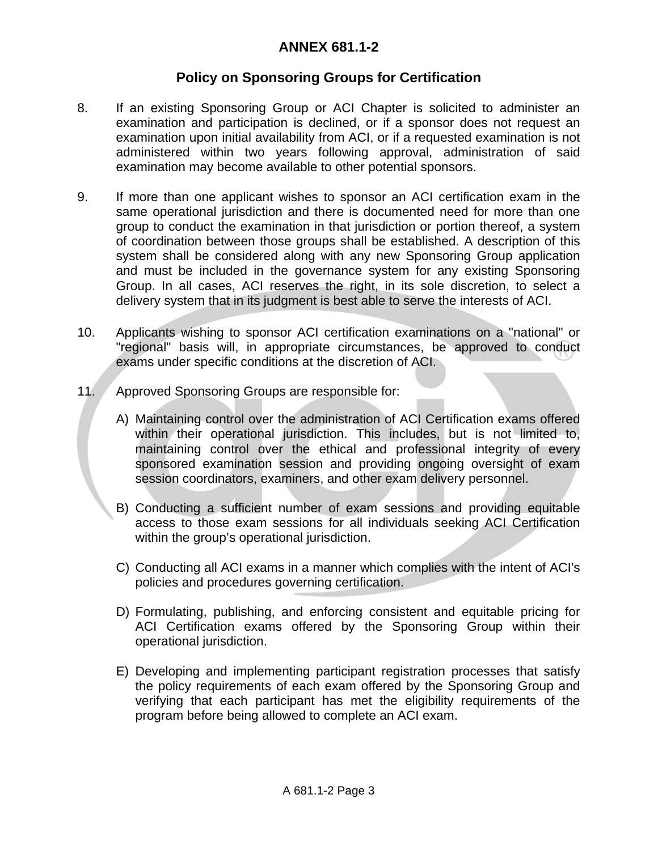## **Policy on Sponsoring Groups for Certification**

- 8. If an existing Sponsoring Group or ACI Chapter is solicited to administer an examination and participation is declined, or if a sponsor does not request an examination upon initial availability from ACI, or if a requested examination is not administered within two years following approval, administration of said examination may become available to other potential sponsors.
- 9. If more than one applicant wishes to sponsor an ACI certification exam in the same operational jurisdiction and there is documented need for more than one group to conduct the examination in that jurisdiction or portion thereof, a system of coordination between those groups shall be established. A description of this system shall be considered along with any new Sponsoring Group application and must be included in the governance system for any existing Sponsoring Group. In all cases, ACI reserves the right, in its sole discretion, to select a delivery system that in its judgment is best able to serve the interests of ACI.
- 10. Applicants wishing to sponsor ACI certification examinations on a "national" or "regional" basis will, in appropriate circumstances, be approved to conduct exams under specific conditions at the discretion of ACI.
- 11. Approved Sponsoring Groups are responsible for:
	- A) Maintaining control over the administration of ACI Certification exams offered within their operational jurisdiction. This includes, but is not limited to, maintaining control over the ethical and professional integrity of every sponsored examination session and providing ongoing oversight of exam session coordinators, examiners, and other exam delivery personnel.
	- B) Conducting a sufficient number of exam sessions and providing equitable access to those exam sessions for all individuals seeking ACI Certification within the group's operational jurisdiction.
	- C) Conducting all ACI exams in a manner which complies with the intent of ACI's policies and procedures governing certification.
	- D) Formulating, publishing, and enforcing consistent and equitable pricing for ACI Certification exams offered by the Sponsoring Group within their operational jurisdiction.
	- E) Developing and implementing participant registration processes that satisfy the policy requirements of each exam offered by the Sponsoring Group and verifying that each participant has met the eligibility requirements of the program before being allowed to complete an ACI exam.